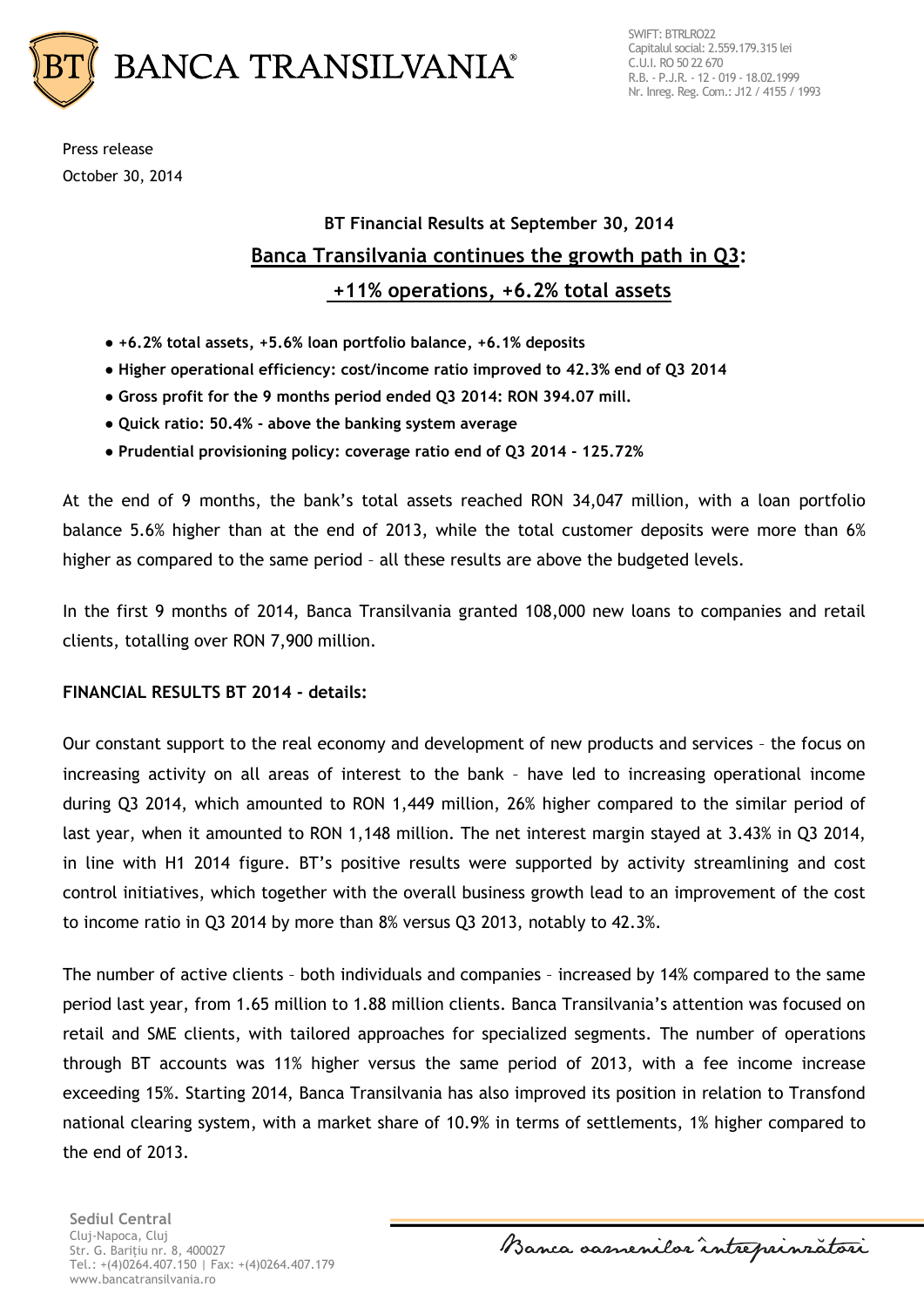

Press release October 30, 2014

## **BT Financial Results at September 30, 2014 Banca Transilvania continues the growth path in Q3: +11% operations, +6.2% total assets**

- **+6.2% total assets, +5.6% loan portfolio balance, +6.1% deposits**
- **Higher operational efficiency: cost/income ratio improved to 42.3% end of Q3 2014**
- **Gross profit for the 9 months period ended Q3 2014: RON 394.07 mill.**
- **Quick ratio: 50.4% - above the banking system average**
- **● Prudential provisioning policy: coverage ratio end of Q3 2014 - 125.72%**

At the end of 9 months, the bank's total assets reached RON 34,047 million, with a loan portfolio balance 5.6% higher than at the end of 2013, while the total customer deposits were more than 6% higher as compared to the same period – all these results are above the budgeted levels.

In the first 9 months of 2014, Banca Transilvania granted 108,000 new loans to companies and retail clients, totalling over RON 7,900 million.

## **FINANCIAL RESULTS BT 2014 - details:**

Our constant support to the real economy and development of new products and services – the focus on increasing activity on all areas of interest to the bank – have led to increasing operational income during Q3 2014, which amounted to RON 1,449 million, 26% higher compared to the similar period of last year, when it amounted to RON 1,148 million. The net interest margin stayed at 3.43% in Q3 2014, in line with H1 2014 figure. BT's positive results were supported by activity streamlining and cost control initiatives, which together with the overall business growth lead to an improvement of the cost to income ratio in Q3 2014 by more than 8% versus Q3 2013, notably to 42.3%.

The number of active clients – both individuals and companies – increased by 14% compared to the same period last year, from 1.65 million to 1.88 million clients. Banca Transilvania's attention was focused on retail and SME clients, with tailored approaches for specialized segments. The number of operations through BT accounts was 11% higher versus the same period of 2013, with a fee income increase exceeding 15%. Starting 2014, Banca Transilvania has also improved its position in relation to Transfond national clearing system, with a market share of 10.9% in terms of settlements, 1% higher compared to the end of 2013.

**Sediul Central** Cluj-Napoca, Cluj Str. G. Bariţiu nr. 8, 400027 Tel.: +(4)0264.407.150 | Fax: +(4)0264.407.179 www.bancatransilvania.ro

Banca samenilor intreprinzatori